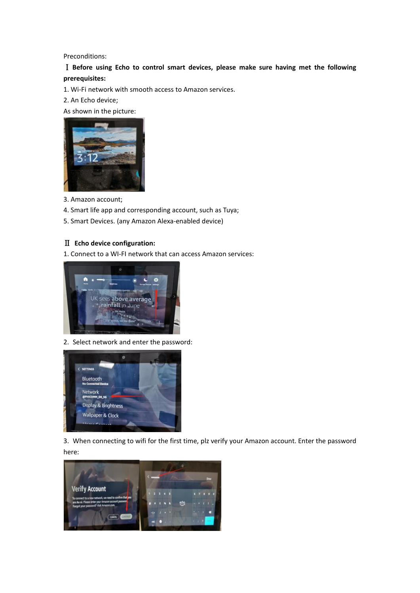Preconditions:

Ⅰ **Before using Echo to control smart devices, please make sure having met the following prerequisites:**

1. Wi-Fi network with smooth access to Amazon services.

2. An Echo device;

As shown in the picture:



3. Amazon account;

- 4. Smart life app and corresponding account, such as Tuya;
- 5. Smart Devices. (any Amazon Alexa-enabled device)

## Ⅱ **Echo device configuration:**

1. Connect to a WI-FI network that can access Amazon services:



2. Select network and enter the password:



3. When connecting to wifi for the first time, plz verify your Amazon account. Enter the password here:

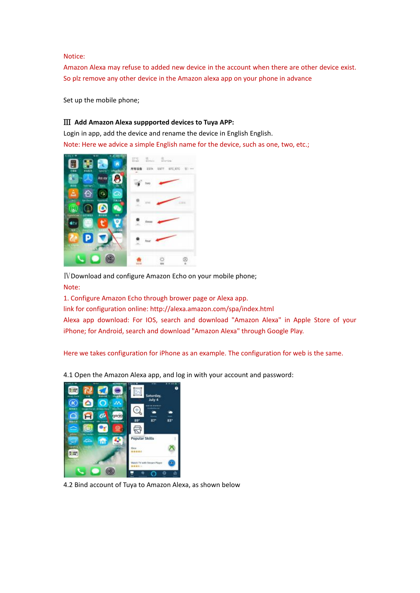Notice:

Amazon Alexa may refuse to added new device in the account when there are other device exist. So plz remove any other device in the Amazon alexa app on your phone in advance

Set up the mobile phone;

## Ⅲ **Add Amazon Alexa suppported devices to Tuya APP:**

Login in app, add the device and rename the device in English English. Note: Here we advice a simple English name for the device, such as one, two, etc.;



IV Download and configure Amazon Echo on your mobile phone; Note:

1. Configure Amazon Echo through brower page or Alexa app.

link for configuration online: http://alexa.amazon.com/spa/index.html

Alexa app download: For IOS, search and download "Amazon Alexa" in Apple Store of your iPhone; for Android, search and download "Amazon Alexa" through Google Play.<br>Here we takes configuration for iPhone as an example. The configuration for web is the same.

4.1 Open the Amazon Alexa app, and log in with your account and password:



4.2 Bind account of Tuya to Amazon Alexa, as shown below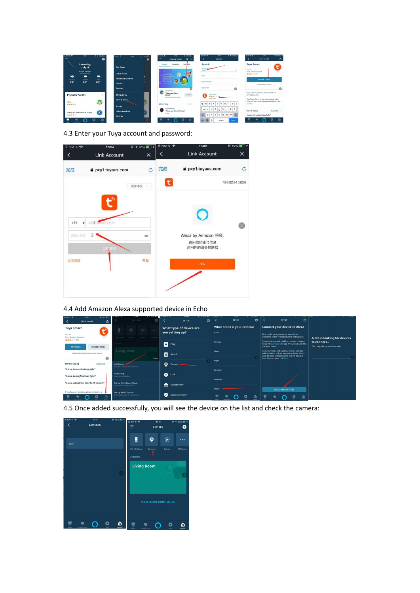

4.3 Enter your Tuya account and password:



## 4.4 Add Amazon Alexa supported device in Echo



4.5 Once added successfully,you will see the device on the list and check the camera: